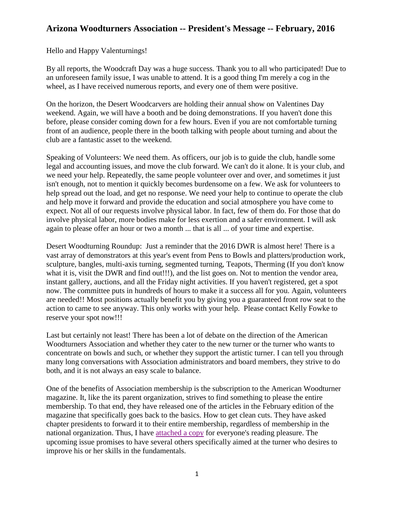## **Arizona Woodturners Association -- President's Message -- February, 2016**

Hello and Happy Valenturnings!

By all reports, the Woodcraft Day was a huge success. Thank you to all who participated! Due to an unforeseen family issue, I was unable to attend. It is a good thing I'm merely a cog in the wheel, as I have received numerous reports, and every one of them were positive.

On the horizon, the Desert Woodcarvers are holding their annual show on Valentines Day weekend. Again, we will have a booth and be doing demonstrations. If you haven't done this before, please consider coming down for a few hours. Even if you are not comfortable turning front of an audience, people there in the booth talking with people about turning and about the club are a fantastic asset to the weekend.

Speaking of Volunteers: We need them. As officers, our job is to guide the club, handle some legal and accounting issues, and move the club forward. We can't do it alone. It is your club, and we need your help. Repeatedly, the same people volunteer over and over, and sometimes it just isn't enough, not to mention it quickly becomes burdensome on a few. We ask for volunteers to help spread out the load, and get no response. We need your help to continue to operate the club and help move it forward and provide the education and social atmosphere you have come to expect. Not all of our requests involve physical labor. In fact, few of them do. For those that do involve physical labor, more bodies make for less exertion and a safer environment. I will ask again to please offer an hour or two a month ... that is all ... of your time and expertise.

Desert Woodturning Roundup: Just a reminder that the 2016 DWR is almost here! There is a vast array of demonstrators at this year's event from Pens to Bowls and platters/production work, sculpture, bangles, multi-axis turning, segmented turning, Teapots, Therming (If you don't know what it is, visit the DWR and find out!!!), and the list goes on. Not to mention the vendor area, instant gallery, auctions, and all the Friday night activities. If you haven't registered, get a spot now. The committee puts in hundreds of hours to make it a success all for you. Again, volunteers are needed!! Most positions actually benefit you by giving you a guaranteed front row seat to the action to came to see anyway. This only works with your help. Please contact Kelly Fowke to reserve your spot now!!!

Last but certainly not least! There has been a lot of debate on the direction of the American Woodturners Association and whether they cater to the new turner or the turner who wants to concentrate on bowls and such, or whether they support the artistic turner. I can tell you through many long conversations with Association administrators and board members, they strive to do both, and it is not always an easy scale to balance.

One of the benefits of Association membership is the subscription to the American Woodturner magazine. It, like the its parent organization, strives to find something to please the entire membership. To that end, they have released one of the articles in the February edition of the magazine that specifically goes back to the basics. How to get clean cuts. They have asked chapter presidents to forward it to their entire membership, regardless of membership in the national organization. Thus, I have [attached a copy](http://www.azwoodturners.org/newsletters/2016/AW31-1-TenPrinciplesofCleanC.pdf) for everyone's reading pleasure. The upcoming issue promises to have several others specifically aimed at the turner who desires to improve his or her skills in the fundamentals.